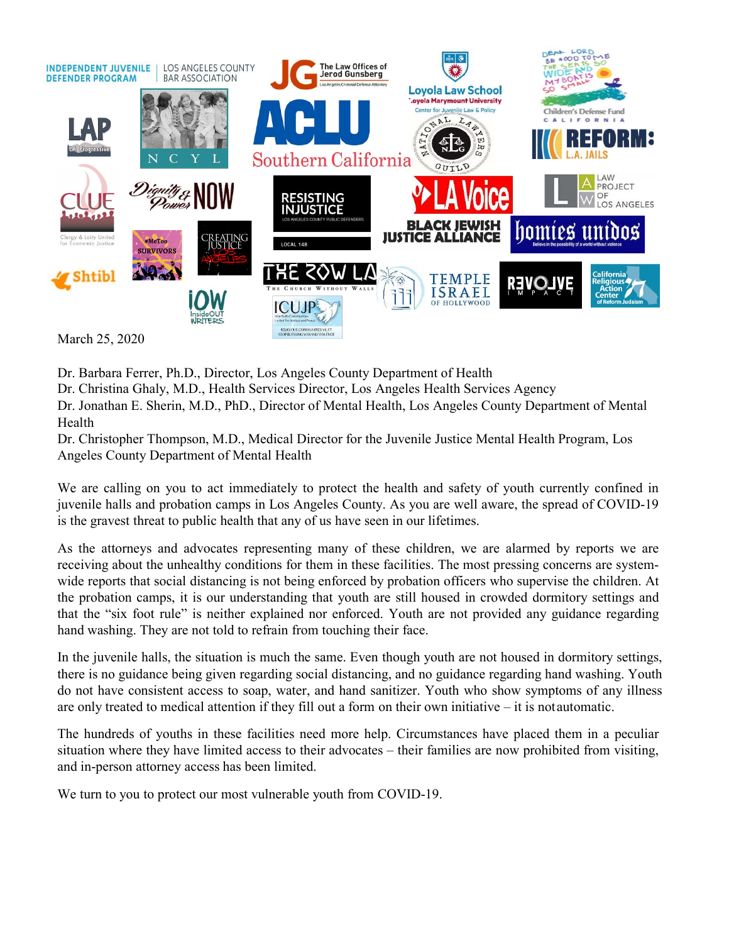

Dr. Barbara Ferrer, Ph.D., Director, Los Angeles County Department of Health

Dr. Christina Ghaly, M.D., Health Services Director, Los Angeles Health Services Agency

Dr. Jonathan E. Sherin, M.D., PhD., Director of Mental Health, Los Angeles County Department of Mental Health

Dr. Christopher Thompson, M.D., Medical Director for the Juvenile Justice Mental Health Program, Los Angeles County Department of Mental Health

**EXERT SOW LANT THE REVOLUTE INTERNATION CONCERNS INTERNATION CONTROLLY IS RAFEL DEPARTMENT USING A DEPARTMENT ON THE UNITS OF THE UNITS ON THE UNITS OF THE UNITS OF THE MOST PRESSING CONCERNS FOR THE UNITS OF THE UNITS O** When the report of Multiple reports that is not being that social distances of the children. The social distances of the children of the children of the children of the children. The children of the children of the childr The probation camps, it is our understanding that the probation camps and the probation camps and the still distance of the probation camps and the still distance of the still house of the still house of the Health Dr. Chr The The Theorem is neither the March 25, 2020<br>
The Christian Ginly, M.D., Director, Los Angeles County Dopartment of Health<br>
The Christian Ginly, M.D., Helath Services Director, Los Angeles IIealth Services Agency<br>
The Jon March 25, 2020<br>
Dr. Barbara Ferrer, Ph.D., Director, Los Angeles County Department of Health<br>
Dr. Christina Ghaly, M.D., Health Services Director, Los Angeles Fealth Services Ageney<br>
He. Christina Ghaly, M.D., PhD., Direct Dr. Barbara Ferrer, Ph.D., Director, Los Angeles County Department of Health<br>Dr. Christina Ghaly, M.D., Health Services Director, Los Angeles Health Services Ageney<br>Dr. Christina Ghaly, M.D., PhD., Director of Mental Healt Dr. Barbara Ferret, Ph.D., Director, Los Angeles County Department of Health<br>Dr. Christina Ghaly, M.D., Director, Los Angeles Cluetth Services Agency<br>Dr. Jonathan E. Sherin, M.D., PhD., Director of Mental Health, Los Angel Dr. Christina Ghaly, M.D., Health Services Director, Los Angeles Health Services Agency<br>Dr. Jonaham E. Sherin, M.D., PhD., Director of Mental Health, Los Angeles County Department of Mental<br>Health<br>Mealth Teaching Findmon, Dr. Jonahan E. Sherin, M.D., PhD., Director of Mental Health, Los Angeles County Department of Mental<br>Health<br>The Christopher Thompson, M.D., Medical Director for the Juvenile Justice Mental Health Program, Los<br>Angeles Coun Example Thompson, M.D., Medical Director for the Juvenile Justice Mental Health Program, Los<br>Angeles County Department of Mental Health<br>of the health and safety of youth currently confined in<br>We are calling on you to act i Entrophent Encomposition Marchine and Safety to protect the health and safety of youth currently confined in Avelieve scenarity to protect the health and safety of youth currently confined in give are celling on you to ac English on the mathemology and in-mathemology to protect the health and safety of youth currently confined in We are calling on you to est immediately to protect the health and safety of youth currently confined in juvenil We are calling on you to act immediately to protect the health and satety of youth currently control in<br>yie, we calling out o act immediately to protect the health and satety of youth current our<br>sisted and probation camps